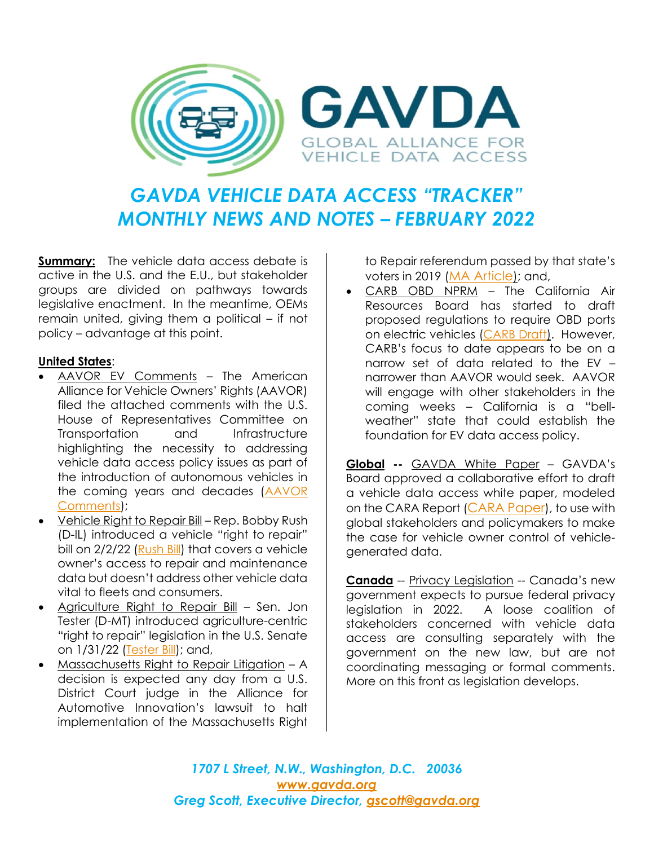

## *GAVDA VEHICLE DATA ACCESS "TRACKER" MONTHLY NEWS AND NOTES – FEBRUARY 2022*

**Summary:** The vehicle data access debate is active in the U.S. and the E.U., but stakeholder groups are divided on pathways towards legislative enactment. In the meantime, OEMs remain united, giving them a political – if not policy – advantage at this point.

## **United States**:

- AAVOR EV Comments The American Alliance for Vehicle Owners' Rights (AAVOR) filed the attached comments with the U.S. House of Representatives Committee on Transportation and Infrastructure highlighting the necessity to addressing vehicle data access policy issues as part of the introduction of autonomous vehicles in the coming years and decades (AAVOR [Comments\)](https://img1.wsimg.com/blobby/go/6224411b-f19b-4b36-825d-78d427574f1a/downloads/aavor%20statement%20for%20house%20ti%20committee%20av%20hear.pdf?ver=1644440808509);
- Vehicle Right to Repair Bill Rep. Bobby Rush (D-IL) introduced a vehicle "right to repair" bill on 2/2/22 [\(Rush Bill\)](https://img1.wsimg.com/blobby/go/6224411b-f19b-4b36-825d-78d427574f1a/downloads/Right%20to%20Repair%20Bill%20Text%20--%20Rush.pdf) that covers a vehicle owner's access to repair and maintenance data but doesn't address other vehicle data vital to fleets and consumers.
- Agriculture Right to Repair Bill Sen. Jon Tester (D-MT) introduced agriculture-centric "right to repair" legislation in the U.S. Senate on 1/31/22 [\(Tester Bill\)](https://img1.wsimg.com/blobby/go/6224411b-f19b-4b36-825d-78d427574f1a/downloads/Ag%20Right%20to%20Repair%20Bill%20Text%20--%20Tester.pdf?ver=1644440808510); and,
- Massachusetts Right to Repair Litigation A decision is expected any day from a U.S. District Court judge in the Alliance for Automotive Innovation's lawsuit to halt implementation of the Massachusetts Right

to Repair referendum passed by that state's voters in 2019 ([MA Article](https://img1.wsimg.com/blobby/go/6224411b-f19b-4b36-825d-78d427574f1a/downloads/mass%20r2r%20article.pdf)); and,

• CARB OBD NPRM – The California Air Resources Board has started to draft proposed regulations to require OBD ports on electric vehicles [\(CARB Draft\)](https://img1.wsimg.com/blobby/go/6224411b-f19b-4b36-825d-78d427574f1a/downloads/draft%20ZEV%20standardized%20data%201962.5.pdf?ver=1644440808510). However, CARB's focus to date appears to be on a narrow set of data related to the EV – narrower than AAVOR would seek. AAVOR will engage with other stakeholders in the coming weeks – California is a "bellweather" state that could establish the foundation for EV data access policy.

**Global --** GAVDA White Paper – GAVDA's Board approved a collaborative effort to draft a vehicle data access white paper, modeled on the CARA Report ([CARA Paper](https://img1.wsimg.com/blobby/go/6224411b-f19b-4b36-825d-78d427574f1a/downloads/CARA%20InCarData_2021.pdf?ver=1644440808510)), to use with global stakeholders and policymakers to make the case for vehicle owner control of vehiclegenerated data.

**Canada** -- Privacy Legislation -- Canada's new government expects to pursue federal privacy legislation in 2022. A loose coalition of stakeholders concerned with vehicle data access are consulting separately with the government on the new law, but are not coordinating messaging or formal comments. More on this front as legislation develops.

*1707 L Street, N.W., Washington, D.C. 20036 [www.gavda.org](http://www.gavda.org/) Greg Scott, Executive Director, [gscott@gavda.org](mailto:gscott@gavda.org)*